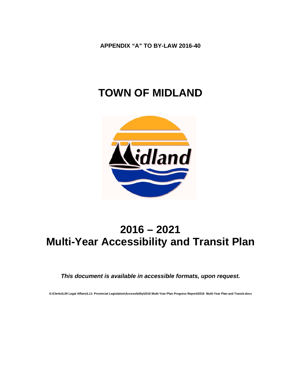APPENDIX "A" TO BY-LAW 2016-40

# **TOWN OF MIDLAND**



# $2016 - 2021$ **Multi-Year Accessibility and Transit Plan**

#### This document is available in accessible formats, upon request.

S:\Clerks\L00 Legal Affairs\L11- Provincial Legislation\Accessibility\2016 Multi-Year Plan Progress Report\2016 Multi-Year Plan and Transit.docx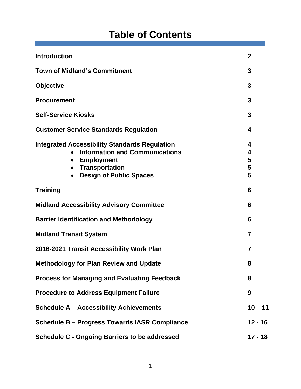# **Table of Contents**

| <b>Introduction</b>                                                                                                                                                                                     | $\overline{2}$        |  |
|---------------------------------------------------------------------------------------------------------------------------------------------------------------------------------------------------------|-----------------------|--|
| <b>Town of Midland's Commitment</b>                                                                                                                                                                     | 3                     |  |
| <b>Objective</b>                                                                                                                                                                                        | 3                     |  |
| <b>Procurement</b>                                                                                                                                                                                      | 3                     |  |
| <b>Self-Service Kiosks</b>                                                                                                                                                                              | 3                     |  |
| <b>Customer Service Standards Regulation</b>                                                                                                                                                            | 4                     |  |
| <b>Integrated Accessibility Standards Regulation</b><br><b>Information and Communications</b><br><b>Employment</b><br>$\bullet$<br><b>Transportation</b><br><b>Design of Public Spaces</b><br>$\bullet$ | 4<br>4<br>5<br>5<br>5 |  |
| <b>Training</b>                                                                                                                                                                                         | 6                     |  |
| <b>Midland Accessibility Advisory Committee</b>                                                                                                                                                         | 6                     |  |
| <b>Barrier Identification and Methodology</b>                                                                                                                                                           |                       |  |
| <b>Midland Transit System</b>                                                                                                                                                                           |                       |  |
| 2016-2021 Transit Accessibility Work Plan                                                                                                                                                               |                       |  |
| <b>Methodology for Plan Review and Update</b>                                                                                                                                                           | 8                     |  |
| <b>Process for Managing and Evaluating Feedback</b>                                                                                                                                                     | 8                     |  |
| <b>Procedure to Address Equipment Failure</b>                                                                                                                                                           | 9                     |  |
| <b>Schedule A - Accessibility Achievements</b>                                                                                                                                                          | $10 - 11$             |  |
| Schedule B - Progress Towards IASR Compliance                                                                                                                                                           |                       |  |
| <b>Schedule C - Ongoing Barriers to be addressed</b>                                                                                                                                                    |                       |  |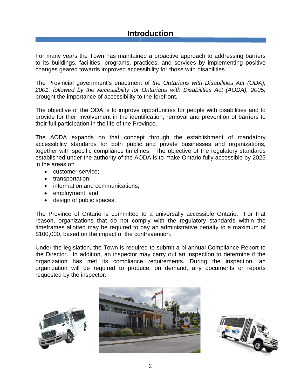# **Introduction**

For many years the Town has maintained a proactive approach to addressing barriers to its buildings, facilities, programs, practices, and services by implementing positive changes geared towards improved accessibility for those with disabilities.

The Provincial government's enactment of the Ontarians with Disabilities Act (ODA), 2001, followed by the Accessibility for Ontarians with Disabilities Act (AODA), 2005, brought the importance of accessibility to the forefront.

The objective of the ODA is to improve opportunities for people with disabilities and to provide for their involvement in the identification, removal and prevention of barriers to their full participation in the life of the Province.

The AODA expands on that concept through the establishment of mandatory accessibility standards for both public and private businesses and organizations, together with specific compliance timelines. The objective of the regulatory standards established under the authority of the AODA is to make Ontario fully accessible by 2025 in the areas of:

- customer service;
- transportation;
- information and communications;
- employment; and
- design of public spaces.

The Province of Ontario is committed to a universally accessible Ontario. For that reason, organizations that do not comply with the regulatory standards within the timeframes allotted may be required to pay an administrative penalty to a maximum of \$100,000, based on the impact of the contravention.

Under the legislation, the Town is required to submit a bi-annual Compliance Report to the Director. In addition, an inspector may carry out an inspection to determine if the organization has met its compliance requirements. During the inspection, an organization will be required to produce, on demand, any documents or reports requested by the inspector.





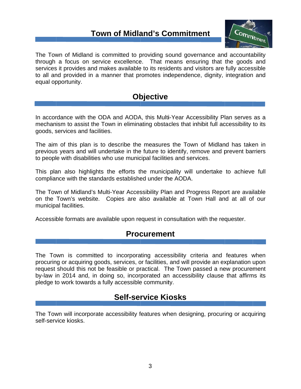# **Town of Midland's Commitment**



The Town of Midland is committed to providing sound governance and accountability through a focus on service excellence. That means ensuring that the goods and services it provides and makes available to its residents and visitors are fully accessible to all and provided in a manner that promotes independence, dignity, integration and equal opportunity.

# **Objective**

In accordance with the ODA and AODA, this Multi-Year Accessibility Plan serves as a mechanism to assist the Town in eliminating obstacles that inhibit full accessibility to its goods, services and facilities.

The aim of this plan is to describe the measures the Town of Midland has taken in previous years and will undertake in the future to identify, remove and prevent barriers to people with disabilities who use municipal facilities and services.

This plan also highlights the efforts the municipality will undertake to achieve full compliance with the standards established under the AODA.

The Town of Midland's Multi-Year Accessibility Plan and Progress Report are available on the Town's website. Copies are also available at Town Hall and at all of our municipal facilities.

Accessible formats are available upon request in consultation with the requester.

## **Procurement**

The Town is committed to incorporating accessibility criteria and features when procuring or acquiring goods, services, or facilities, and will provide an explanation upon request should this not be feasible or practical. The Town passed a new procurement by-law in 2014 and, in doing so, incorporated an accessibility clause that affirms its pledge to work towards a fully accessible community.

# **Self-service Kiosks**

The Town will incorporate accessibility features when designing, procuring or acquiring self-service kiosks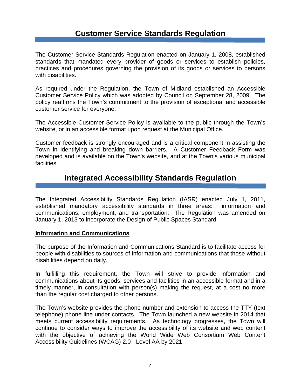# **Customer Service Standards Regulation**

The Customer Service Standards Regulation enacted on January 1, 2008, established standards that mandated every provider of goods or services to establish policies, practices and procedures governing the provision of its goods or services to persons with disabilities.

As required under the Regulation, the Town of Midland established an Accessible Customer Service Policy which was adopted by Council on September 28, 2009. The policy reaffirms the Town's commitment to the provision of exceptional and accessible customer service for everyone.

The Accessible Customer Service Policy is available to the public through the Town's website, or in an accessible format upon request at the Municipal Office.

Customer feedback is strongly encouraged and is a critical component in assisting the Town in identifying and breaking down barriers. A Customer Feedback Form was developed and is available on the Town's website, and at the Town's various municipal facilities.

# **Integrated Accessibility Standards Regulation**

The Integrated Accessibility Standards Regulation (IASR) enacted July 1, 2011, established mandatory accessibility standards in three areas: information and communications, employment, and transportation. The Regulation was amended on January 1, 2013 to incorporate the Design of Public Spaces Standard.

#### **Information and Communications**

The purpose of the Information and Communications Standard is to facilitate access for people with disabilities to sources of information and communications that those without disabilities depend on daily.

In fulfilling this requirement, the Town will strive to provide information and communications about its goods, services and facilities in an accessible format and in a timely manner, in consultation with person(s) making the request, at a cost no more than the regular cost charged to other persons.

The Town's website provides the phone number and extension to access the TTY (text telephone) phone line under contacts. The Town launched a new website in 2014 that meets current accessibility requirements. As technology progresses, the Town will continue to consider ways to improve the accessibility of its website and web content with the objective of achieving the World Wide Web Consortium Web Content Accessibility Guidelines (WCAG) 2.0 - Level AA by 2021.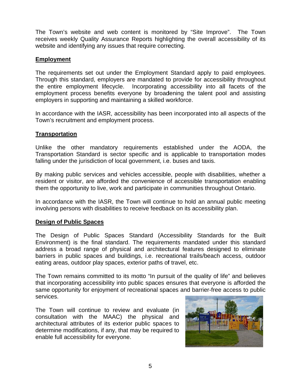The Town's website and web content is monitored by "Site Improve". The Town receives weekly Quality Assurance Reports highlighting the overall accessibility of its website and identifying any issues that require correcting.

#### **Employment**

The requirements set out under the Employment Standard apply to paid employees. Through this standard, employers are mandated to provide for accessibility throughout the entire employment lifecycle. Incorporating accessibility into all facets of the employment process benefits everyone by broadening the talent pool and assisting employers in supporting and maintaining a skilled workforce.

In accordance with the IASR, accessibility has been incorporated into all aspects of the Town's recruitment and employment process.

#### **Transportation**

Unlike the other mandatory requirements established under the AODA, the Transportation Standard is sector specific and is applicable to transportation modes falling under the jurisdiction of local government, i.e. buses and taxis.

By making public services and vehicles accessible, people with disabilities, whether a resident or visitor, are afforded the convenience of accessible transportation enabling them the opportunity to live, work and participate in communities throughout Ontario.

In accordance with the IASR, the Town will continue to hold an annual public meeting involving persons with disabilities to receive feedback on its accessibility plan.

#### **Design of Public Spaces**

The Design of Public Spaces Standard (Accessibility Standards for the Built Environment) is the final standard. The requirements mandated under this standard address a broad range of physical and architectural features designed to eliminate barriers in public spaces and buildings, i.e. recreational trails/beach access, outdoor eating areas, outdoor play spaces, exterior paths of travel, etc.

The Town remains committed to its motto "In pursuit of the quality of life" and believes that incorporating accessibility into public spaces ensures that everyone is afforded the same opportunity for enjoyment of recreational spaces and barrier-free access to public services.

The Town will continue to review and evaluate (in consultation with the MAAC) the physical and architectural attributes of its exterior public spaces to determine modifications, if any, that may be required to enable full accessibility for everyone.

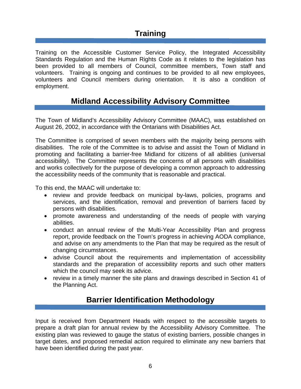# **Training**

Training on the Accessible Customer Service Policy, the Integrated Accessibility Standards Regulation and the Human Rights Code as it relates to the legislation has been provided to all members of Council, committee members, Town staff and volunteers. Training is ongoing and continues to be provided to all new employees, volunteers and Council members during orientation. It is also a condition of employment.

# **Midland Accessibility Advisory Committee**

The Town of Midland's Accessibility Advisory Committee (MAAC), was established on August 26, 2002, in accordance with the Ontarians with Disabilities Act.

The Committee is comprised of seven members with the majority being persons with disabilities. The role of the Committee is to advise and assist the Town of Midland in promoting and facilitating a barrier-free Midland for citizens of all abilities (universal accessibility). The Committee represents the concerns of all persons with disabilities and works collectively for the purpose of developing a common approach to addressing the accessibility needs of the community that is reasonable and practical.

To this end, the MAAC will undertake to:

- review and provide feedback on municipal by-laws, policies, programs and services, and the identification, removal and prevention of barriers faced by persons with disabilities.
- promote awareness and understanding of the needs of people with varying abilities.
- conduct an annual review of the Multi-Year Accessibility Plan and progress report, provide feedback on the Town's progress in achieving AODA compliance, and advise on any amendments to the Plan that may be required as the result of changing circumstances.
- advise Council about the requirements and implementation of accessibility standards and the preparation of accessibility reports and such other matters which the council may seek its advice.
- review in a timely manner the site plans and drawings described in Section 41 of the Planning Act.

# **Barrier Identification Methodology**

Input is received from Department Heads with respect to the accessible targets to prepare a draft plan for annual review by the Accessibility Advisory Committee. The existing plan was reviewed to gauge the status of existing barriers, possible changes in target dates, and proposed remedial action required to eliminate any new barriers that have been identified during the past year.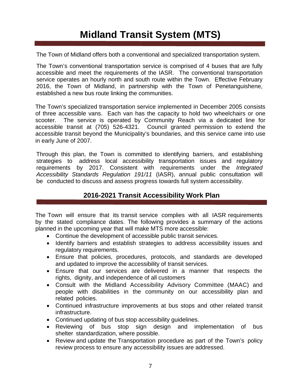# **Midland Transit System (MTS)**

The Town of Midland offers both a conventional and specialized transportation system.

The Town's conventional transportation service is comprised of 4 buses that are fully accessible and meet the requirements of the IASR. The conventional transportation service operates an hourly north and south route within the Town. Effective February 2016, the Town of Midland, in partnership with the Town of Penetanguishene, established a new bus route linking the communities.

The Town's specialized transportation service implemented in December 2005 consists of three accessible vans. Each van has the capacity to hold two wheelchairs or one scooter. The service is operated by Community Reach via a dedicated line for accessible transit at (705) 526-4321. Council granted permission to extend the accessible transit beyond the Municipality's boundaries, and this service came into use in early June of 2007.

Through this plan, the Town is committed to identifying barriers, and establishing strategies to address local accessibility transportation issues and regulatory requirements by 2017. Consistent with requirements under the *Integrated Accessibility Standards Regulation 191/11* (IASR), annual public consultation will be conducted to discuss and assess progress towards full system accessibility.

### **2016-2021 Transit Accessibility Work Plan**

The Town will ensure that its transit service complies with all IASR requirements by the stated compliance dates. The following provides a summary of the actions planned in the upcoming year that will make MTS more accessible:

- Continue the development of accessible public transit services.
- Identify barriers and establish strategies to address accessibility issues and regulatory requirements.
- Ensure that policies, procedures, protocols, and standards are developed and updated to improve the accessibility of transit services.
- Ensure that our services are delivered in a manner that respects the rights, dignity, and independence of all customers
- Consult with the Midland Accessibility Advisory Committee (MAAC) and people with disabilities in the community on our accessibility plan and related policies.
- Continued infrastructure improvements at bus stops and other related transit infrastructure.
- Continued updating of bus stop accessibility guidelines.
- Reviewing of bus stop sign design and implementation of bus shelter standardization, where possible.
- Review and update the Transportation procedure as part of the Town's policy review process to ensure any accessibility issues are addressed.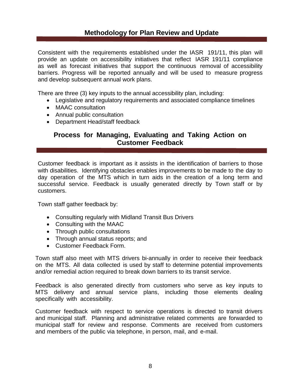#### **Methodology for Plan Review and Update**

Consistent with the requirements established under the IASR 191/11, this plan will provide an update on accessibility initiatives that reflect IASR 191/11 compliance as well as forecast initiatives that support the continuous removal of accessibility barriers. Progress will be reported annually and will be used to measure progress and develop subsequent annual work plans.

There are three (3) key inputs to the annual accessibility plan, including:

- Legislative and regulatory requirements and associated compliance timelines
- MAAC consultation
- Annual public consultation
- Department Head/staff feedback

#### **Process for Managing, Evaluating and Taking Action on Customer Feedback**

Customer feedback is important as it assists in the identification of barriers to those with disabilities. Identifying obstacles enables improvements to be made to the day to day operation of the MTS which in turn aids in the creation of a long term and successful service. Feedback is usually generated directly by Town staff or by customers.

Town staff gather feedback by:

- Consulting regularly with Midland Transit Bus Drivers
- Consulting with the MAAC
- Through public consultations
- Through annual status reports; and
- Customer Feedback Form.

Town staff also meet with MTS drivers bi-annually in order to receive their feedback on the MTS. All data collected is used by staff to determine potential improvements and/or remedial action required to break down barriers to its transit service.

Feedback is also generated directly from customers who serve as key inputs to MTS delivery and annual service plans, including those elements dealing specifically with accessibility.

Customer feedback with respect to service operations is directed to transit drivers and municipal staff. Planning and administrative related comments are forwarded to municipal staff for review and response. Comments are received from customers and members of the public via telephone, in person, mail, and e-mail.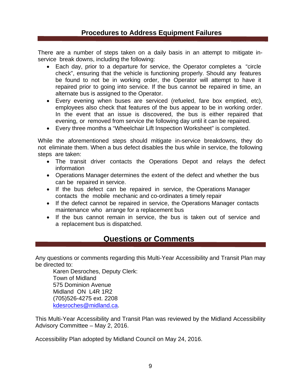#### **Procedures to Address Equipment Failures**

There are a number of steps taken on a daily basis in an attempt to mitigate inservice break downs, including the following:

- Each day, prior to a departure for service, the Operator completes a "circle check", ensuring that the vehicle is functioning properly. Should any features be found to not be in working order, the Operator will attempt to have it repaired prior to going into service. If the bus cannot be repaired in time, an alternate bus is assigned to the Operator.
- Every evening when buses are serviced (refueled, fare box emptied, etc), employees also check that features of the bus appear to be in working order. In the event that an issue is discovered, the bus is either repaired that evening, or removed from service the following day until it can be repaired.
- Every three months a "Wheelchair Lift Inspection Worksheet" is completed.

While the aforementioned steps should mitigate in-service breakdowns, they do not eliminate them. When a bus defect disables the bus while in service, the following steps are taken:

- The transit driver contacts the Operations Depot and relays the defect information
- Operations Manager determines the extent of the defect and whether the bus can be repaired in service.
- If the bus defect can be repaired in service, the Operations Manager contacts the mobile mechanic and co-ordinates a timely repair
- If the defect cannot be repaired in service, the Operations Manager contacts maintenance who arrange for a replacement bus
- If the bus cannot remain in service, the bus is taken out of service and a replacement bus is dispatched.

## **Questions or Comments**

Any questions or comments regarding this Multi-Year Accessibility and Transit Plan may be directed to:

Karen Desroches, Deputy Clerk: Town of Midland 575 Dominion Avenue Midland ON L4R 1R2 (705)526-4275 ext. 2208 kdesroches@midland.ca.

This Multi-Year Accessibility and Transit Plan was reviewed by the Midland Accessibility Advisory Committee – May 2, 2016.

Accessibility Plan adopted by Midland Council on May 24, 2016.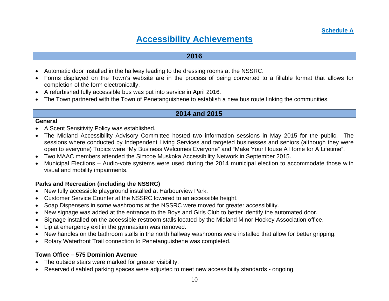# **Accessibility Achievements**

#### **2016**

- Automatic door installed in the hallway leading to the dressing rooms at the NSSRC.
- Forms displayed on the Town's website are in the process of being converted to a fillable format that allows for completion of the form electronically.
- A refurbished fully accessible bus was put into service in April 2016.
- The Town partnered with the Town of Penetanguishene to establish a new bus route linking the communities.

#### **2014 and 2015**

#### **General**

- A Scent Sensitivity Policy was established.
- The Midland Accessibility Advisory Committee hosted two information sessions in May 2015 for the public. The sessions where conducted by Independent Living Services and targeted businesses and seniors (although they were open to everyone) Topics were "My Business Welcomes Everyone" and "Make Your House A Home for A Lifetime".
- Two MAAC members attended the Simcoe Muskoka Accessibility Network in September 2015.
- Municipal Elections Audio-vote systems were used during the 2014 municipal election to accommodate those with visual and mobility impairments.

#### **Parks and Recreation (including the NSSRC)**

- New fully accessible playground installed at Harbourview Park.
- Customer Service Counter at the NSSRC lowered to an accessible height.
- Soap Dispensers in some washrooms at the NSSRC were moved for greater accessibility.
- New signage was added at the entrance to the Boys and Girls Club to better identify the automated door.
- Signage installed on the accessible restroom stalls located by the Midland Minor Hockey Association office.
- Lip at emergency exit in the gymnasium was removed.
- New handles on the bathroom stalls in the north hallway washrooms were installed that allow for better gripping.
- Rotary Waterfront Trail connection to Penetanguishene was completed.

#### **Town Office – 575 Dominion Avenue**

- The outside stairs were marked for greater visibility.
- Reserved disabled parking spaces were adjusted to meet new accessibility standards ongoing.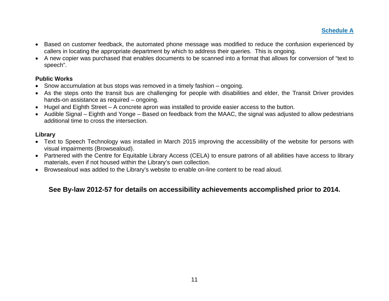**Schedule A** 

- Based on customer feedback, the automated phone message was modified to reduce the confusion experienced by callers in locating the appropriate department by which to address their queries. This is ongoing.
- A new copier was purchased that enables documents to be scanned into a format that allows for conversion of "text to speech".

#### **Public Works**

- Snow accumulation at bus stops was removed in a timely fashion ongoing.
- As the steps onto the transit bus are challenging for people with disabilities and elder, the Transit Driver provides hands-on assistance as required – ongoing.
- Hugel and Eighth Street A concrete apron was installed to provide easier access to the button.
- Audible Signal Eighth and Yonge Based on feedback from the MAAC, the signal was adjusted to allow pedestrians additional time to cross the intersection.

#### **Library**

- Text to Speech Technology was installed in March 2015 improving the accessibility of the website for persons with visual impairments (Browsealoud).
- Partnered with the Centre for Equitable Library Access (CELA) to ensure patrons of all abilities have access to library materials, even if not housed within the Library's own collection.
- Browsealoud was added to the Library's website to enable on-line content to be read aloud.

## **See By-law 2012-57 for details on accessibility achievements accomplished prior to 2014.**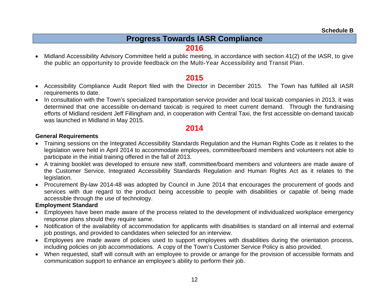# **Progress Towards IASR Compliance**

## **2016**

 Midland Accessibility Advisory Committee held a public meeting, in accordance with section 41(2) of the IASR, to give the public an opportunity to provide feedback on the Multi-Year Accessibility and Transit Plan.

## **2015**

- Accessibility Compliance Audit Report filed with the Director in December 2015. The Town has fulfilled all IASR requirements to date.
- In consultation with the Town's specialized transportation service provider and local taxicab companies in 2013, it was determined that one accessible on-demand taxicab is required to meet current demand. Through the fundraising efforts of Midland resident Jeff Fillingham and, in cooperation with Central Taxi, the first accessible on-demand taxicab was launched in Midland in May 2015.

## **2014**

#### **General Requirements**

- Training sessions on the Integrated Accessibility Standards Regulation and the Human Rights Code as it relates to the legislation were held in April 2014 to accommodate employees, committee/board members and volunteers not able to participate in the initial training offered in the fall of 2013.
- A training booklet was developed to ensure new staff, committee/board members and volunteers are made aware of the Customer Service, Integrated Accessibility Standards Regulation and Human Rights Act as it relates to the legislation.
- Procurement By-law 2014-48 was adopted by Council in June 2014 that encourages the procurement of goods and services with due regard to the product being accessible to people with disabilities or capable of being made accessible through the use of technology.

#### **Employment Standard**

- Employees have been made aware of the process related to the development of individualized workplace emergency response plans should they require same.
- Notification of the availability of accommodation for applicants with disabilities is standard on all internal and external job postings, and provided to candidates when selected for an interview.
- Employees are made aware of policies used to support employees with disabilities during the orientation process, including policies on job accommodations. A copy of the Town's Customer Service Policy is also provided.
- When requested, staff will consult with an employee to provide or arrange for the provision of accessible formats and communication support to enhance an employee's ability to perform their job.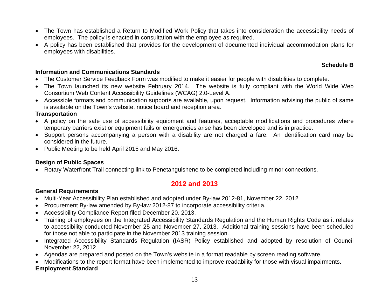- The Town has established a Return to Modified Work Policy that takes into consideration the accessibility needs of employees. The policy is enacted in consultation with the employee as required.
- A policy has been established that provides for the development of documented individual accommodation plans for employees with disabilities.

#### **Schedule B**

#### **Information and Communications Standards**

- The Customer Service Feedback Form was modified to make it easier for people with disabilities to complete.
- The Town launched its new website February 2014. The website is fully compliant with the World Wide Web Consortium Web Content Accessibility Guidelines (WCAG) 2.0-Level A.
- Accessible formats and communication supports are available, upon request. Information advising the public of same is available on the Town's website, notice board and reception area.

#### **Transportation**

- A policy on the safe use of accessibility equipment and features, acceptable modifications and procedures where temporary barriers exist or equipment fails or emergencies arise has been developed and is in practice.
- Support persons accompanying a person with a disability are not charged a fare. An identification card may be considered in the future.
- Public Meeting to be held April 2015 and May 2016.

### **Design of Public Spaces**

Rotary Waterfront Trail connecting link to Penetanguishene to be completed including minor connections.

# **2012 and 2013**

### **General Requirements**

- Multi-Year Accessibility Plan established and adopted under By-law 2012-81, November 22, 2012
- Procurement By-law amended by By-law 2012-87 to incorporate accessibility criteria.
- Accessibility Compliance Report filed December 20, 2013.
- Training of employees on the Integrated Accessibility Standards Regulation and the Human Rights Code as it relates to accessibility conducted November 25 and November 27, 2013. Additional training sessions have been scheduled for those not able to participate in the November 2013 training session.
- Integrated Accessibility Standards Regulation (IASR) Policy established and adopted by resolution of Council November 22, 2012
- Agendas are prepared and posted on the Town's website in a format readable by screen reading software.
- Modifications to the report format have been implemented to improve readability for those with visual impairments.

### **Employment Standard**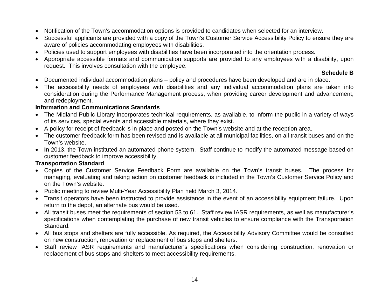- Notification of the Town's accommodation options is provided to candidates when selected for an interview.
- Successful applicants are provided with a copy of the Town's Customer Service Accessibility Policy to ensure they are aware of policies accommodating employees with disabilities.
- Policies used to support employees with disabilities have been incorporated into the orientation process.
- Appropriate accessible formats and communication supports are provided to any employees with a disability, upon request. This involves consultation with the employee.

#### **Schedule B**

- Documented individual accommodation plans policy and procedures have been developed and are in place.
- The accessibility needs of employees with disabilities and any individual accommodation plans are taken into consideration during the Performance Management process, when providing career development and advancement, and redeployment.

#### **Information and Communications Standards**

- The Midland Public Library incorporates technical requirements, as available, to inform the public in a variety of ways of its services, special events and accessible materials, where they exist.
- A policy for receipt of feedback is in place and posted on the Town's website and at the reception area.
- The customer feedback form has been revised and is available at all municipal facilities, on all transit buses and on the Town's website.
- **I**n 2013, the Town instituted an automated phone system. Staff continue to modify the automated message based on customer feedback to improve accessibility.

#### **Transportation Standard**

- Copies of the Customer Service Feedback Form are available on the Town's transit buses. The process for managing, evaluating and taking action on customer feedback is included in the Town's Customer Service Policy and on the Town's website.
- Public meeting to review Multi-Year Accessibility Plan held March 3, 2014.
- Transit operators have been instructed to provide assistance in the event of an accessibility equipment failure. Upon return to the depot, an alternate bus would be used.
- All transit buses meet the requirements of section 53 to 61. Staff review IASR requirements, as well as manufacturer's specifications when contemplating the purchase of new transit vehicles to ensure compliance with the Transportation Standard.
- All bus stops and shelters are fully accessible. As required, the Accessibility Advisory Committee would be consulted on new construction, renovation or replacement of bus stops and shelters.
- Staff review IASR requirements and manufacturer's specifications when considering construction, renovation or replacement of bus stops and shelters to meet accessibility requirements.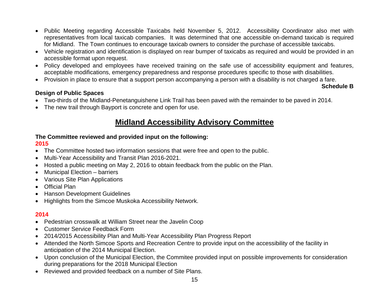- Public Meeting regarding Accessible Taxicabs held November 5, 2012. Accessibility Coordinator also met with representatives from local taxicab companies. It was determined that one accessible on-demand taxicab is required for Midland. The Town continues to encourage taxicab owners to consider the purchase of accessible taxicabs.
- Vehicle registration and identification is displayed on rear bumper of taxicabs as required and would be provided in an accessible format upon request.
- Policy developed and employees have received training on the safe use of accessibility equipment and features, acceptable modifications, emergency preparedness and response procedures specific to those with disabilities.
- Provision in place to ensure that a support person accompanying a person with a disability is not charged a fare.

#### **Schedule B**

#### **Design of Public Spaces**

- Two-thirds of the Midland-Penetanguishene Link Trail has been paved with the remainder to be paved in 2014.
- The new trail through Bayport is concrete and open for use.

# **Midland Accessibility Advisory Committee**

# **The Committee reviewed and provided input on the following:**

#### **2015**

- The Committee hosted two information sessions that were free and open to the public.
- Multi-Year Accessibility and Transit Plan 2016-2021.
- Hosted a public meeting on May 2, 2016 to obtain feedback from the public on the Plan.
- Municipal Election barriers
- Various Site Plan Applications
- Official Plan
- Hanson Development Guidelines
- Highlights from the Simcoe Muskoka Accessibility Network.

#### **2014**

- Pedestrian crosswalk at William Street near the Javelin Coop
- Customer Service Feedback Form
- 2014/2015 Accessibility Plan and Multi-Year Accessibility Plan Progress Report
- Attended the North Simcoe Sports and Recreation Centre to provide input on the accessibility of the facility in anticipation of the 2014 Municipal Election.
- Upon conclusion of the Municipal Election, the Commitee provided input on possible improvements for consideration during preparations for the 2018 Municipal Election
- Reviewed and provided feedback on a number of Site Plans.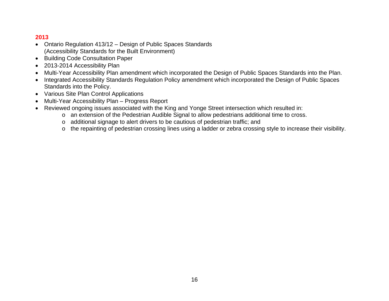#### **2013**

- Ontario Regulation 413/12 Design of Public Spaces Standards (Accessibility Standards for the Built Environment)
- Building Code Consultation Paper
- 2013-2014 Accessibility Plan
- Multi-Year Accessibility Plan amendment which incorporated the Design of Public Spaces Standards into the Plan.
- Integrated Accessibility Standards Regulation Policy amendment which incorporated the Design of Public Spaces Standards into the Policy.
- Various Site Plan Control Applications
- Multi-Year Accessibility Plan Progress Report
- Reviewed ongoing issues associated with the King and Yonge Street intersection which resulted in:
	- <sup>o</sup> an extension of the Pedestrian Audible Signal to allow pedestrians additional time to cross.
	- <sup>o</sup> additional signage to alert drivers to be cautious of pedestrian traffic; and
	- o the repainting of pedestrian crossing lines using a ladder or zebra crossing style to increase their visibility.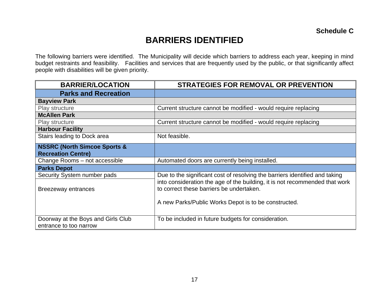# **BARRIERS IDENTIFIED**

The following barriers were identified. The Municipality will decide which barriers to address each year, keeping in mind budget restraints and feasibility. Facilities and services that are frequently used by the public, or that significantly affect people with disabilities will be given priority.

| <b>BARRIER/LOCATION</b>                                      | <b>STRATEGIES FOR REMOVAL OR PREVENTION</b>                                                                             |
|--------------------------------------------------------------|-------------------------------------------------------------------------------------------------------------------------|
| <b>Parks and Recreation</b>                                  |                                                                                                                         |
| <b>Bayview Park</b>                                          |                                                                                                                         |
| Play structure                                               | Current structure cannot be modified - would require replacing                                                          |
| <b>McAllen Park</b>                                          |                                                                                                                         |
| Play structure                                               | Current structure cannot be modified - would require replacing                                                          |
| <b>Harbour Facility</b>                                      |                                                                                                                         |
| Stairs leading to Dock area                                  | Not feasible.                                                                                                           |
| <b>NSSRC (North Simcoe Sports &amp;</b>                      |                                                                                                                         |
| <b>Recreation Centre)</b>                                    |                                                                                                                         |
| Change Rooms - not accessible                                | Automated doors are currently being installed.                                                                          |
| <b>Parks Depot</b>                                           |                                                                                                                         |
| Security System number pads                                  | Due to the significant cost of resolving the barriers identified and taking                                             |
| Breezeway entrances                                          | into consideration the age of the building, it is not recommended that work<br>to correct these barriers be undertaken. |
|                                                              | A new Parks/Public Works Depot is to be constructed.                                                                    |
| Doorway at the Boys and Girls Club<br>entrance to too narrow | To be included in future budgets for consideration.                                                                     |